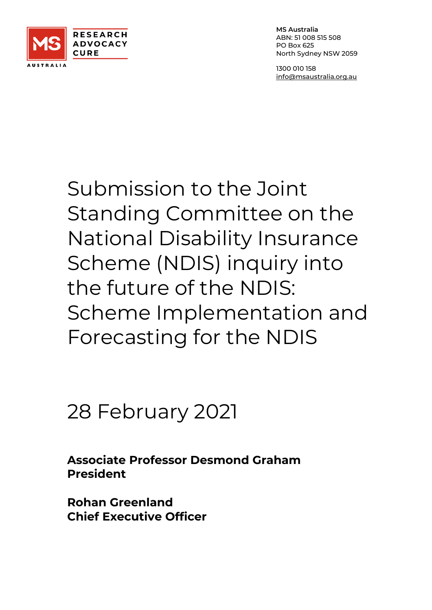

**MS Australia** ABN: 51 008 515 508 PO Box 625 North Sydney NSW 2059

1300 010 158 [info@msaustralia.org.au](mailto:info@msaustralia.org.au)

# Submission to the Joint Standing Committee on the National Disability Insurance Scheme (NDIS) inquiry into the future of the NDIS: Scheme Implementation and Forecasting for the NDIS

# 28 February 2021

**Associate Professor Desmond Graham President**

**Rohan Greenland Chief Executive Officer**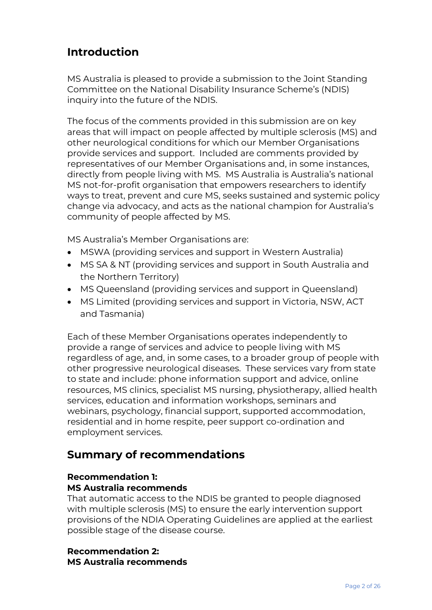# **Introduction**

MS Australia is pleased to provide a submission to the Joint Standing Committee on the National Disability Insurance Scheme's (NDIS) inquiry into the future of the NDIS.

The focus of the comments provided in this submission are on key areas that will impact on people affected by multiple sclerosis (MS) and other neurological conditions for which our Member Organisations provide services and support. Included are comments provided by representatives of our Member Organisations and, in some instances, directly from people living with MS. MS Australia is Australia's national MS not-for-profit organisation that empowers researchers to identify ways to treat, prevent and cure MS, seeks sustained and systemic policy change via advocacy, and acts as the national champion for Australia's community of people affected by MS.

MS Australia's Member Organisations are:

- MSWA (providing services and support in Western Australia)
- MS SA & NT (providing services and support in South Australia and the Northern Territory)
- MS Queensland (providing services and support in Queensland)
- MS Limited (providing services and support in Victoria, NSW, ACT and Tasmania)

Each of these Member Organisations operates independently to provide a range of services and advice to people living with MS regardless of age, and, in some cases, to a broader group of people with other progressive neurological diseases. These services vary from state to state and include: phone information support and advice, online resources, MS clinics, specialist MS nursing, physiotherapy, allied health services, education and information workshops, seminars and webinars, psychology, financial support, supported accommodation, residential and in home respite, peer support co-ordination and employment services.

# **Summary of recommendations**

# **Recommendation 1:**

# **MS Australia recommends**

That automatic access to the NDIS be granted to people diagnosed with multiple sclerosis (MS) to ensure the early intervention support provisions of the NDIA Operating Guidelines are applied at the earliest possible stage of the disease course.

## **Recommendation 2: MS Australia recommends**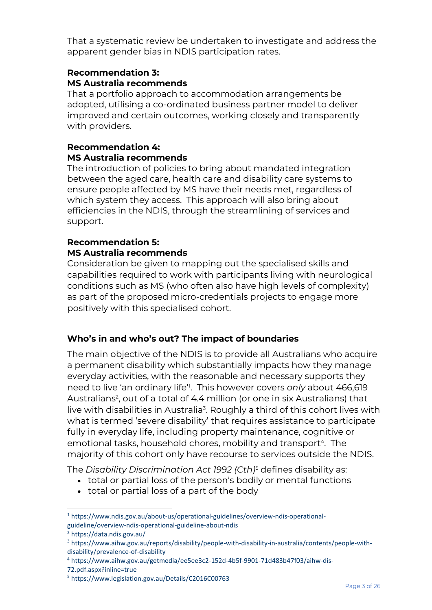That a systematic review be undertaken to investigate and address the apparent gender bias in NDIS participation rates.

# **Recommendation 3: MS Australia recommends**

That a portfolio approach to accommodation arrangements be adopted, utilising a co-ordinated business partner model to deliver improved and certain outcomes, working closely and transparently with providers.

# **Recommendation 4: MS Australia recommends**

The introduction of policies to bring about mandated integration between the aged care, health care and disability care systems to ensure people affected by MS have their needs met, regardless of which system they access. This approach will also bring about efficiencies in the NDIS, through the streamlining of services and support.

# **Recommendation 5: MS Australia recommends**

Consideration be given to mapping out the specialised skills and capabilities required to work with participants living with neurological conditions such as MS (who often also have high levels of complexity) as part of the proposed micro-credentials projects to engage more positively with this specialised cohort.

# **Who's in and who's out? The impact of boundaries**

The main objective of the NDIS is to provide all Australians who acquire a permanent disability which substantially impacts how they manage everyday activities, with the reasonable and necessary supports they need to live 'an ordinary life'<sup>1</sup> . This however covers *only* about 466,619 Australians<sup>2</sup>, out of a total of 4.4 million (or one in six Australians) that live with disabilities in Australia<sup>3</sup>. Roughly a third of this cohort lives with what is termed 'severe disability' that requires assistance to participate fully in everyday life, including property maintenance, cognitive or emotional tasks, household chores, mobility and transport<sup>4</sup>. The majority of this cohort only have recourse to services outside the NDIS.

The *Disability Discrimination Act 1992 (Cth)*<sup>5</sup> defines disability as:

- total or partial loss of the person's bodily or mental functions
- total or partial loss of a part of the body

<sup>1</sup> https://www.ndis.gov.au/about-us/operational-guidelines/overview-ndis-operationalguideline/overview-ndis-operational-guideline-about-ndis

<sup>2</sup> https://data.ndis.gov.au/

<sup>3</sup> https://www.aihw.gov.au/reports/disability/people-with-disability-in-australia/contents/people-withdisability/prevalence-of-disability

<sup>4</sup> https://www.aihw.gov.au/getmedia/ee5ee3c2-152d-4b5f-9901-71d483b47f03/aihw-dis-

<sup>72.</sup>pdf.aspx?inline=true

<sup>5</sup> https://www.legislation.gov.au/Details/C2016C00763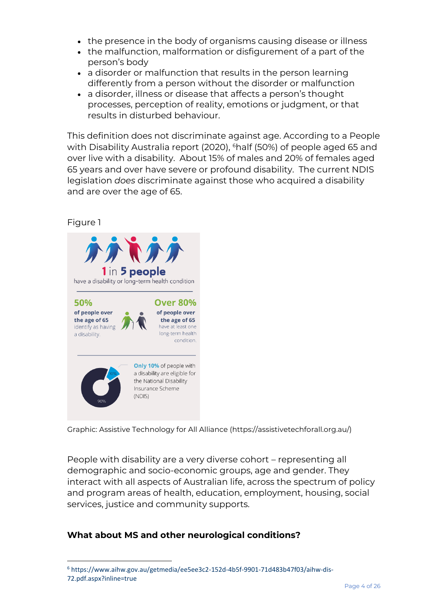- the presence in the body of organisms causing disease or illness
- the malfunction, malformation or disfigurement of a part of the person's body
- a disorder or malfunction that results in the person learning differently from a person without the disorder or malfunction
- a disorder, illness or disease that affects a person's thought processes, perception of reality, emotions or judgment, or that results in disturbed behaviour.

This definition does not discriminate against age. According to a People with Disability Australia report (2020), <sup>6</sup>half (50%) of people aged 65 and over live with a disability. About 15% of males and 20% of females aged 65 years and over have severe or profound disability. The current NDIS legislation *does* discriminate against those who acquired a disability and are over the age of 65.

# Figure 1



Graphic: Assistive Technology for All Alliance (https://assistivetechforall.org.au/)

People with disability are a very diverse cohort – representing all demographic and socio-economic groups, age and gender. They interact with all aspects of Australian life, across the spectrum of policy and program areas of health, education, employment, housing, social services, justice and community supports.

# **What about MS and other neurological conditions?**

<sup>6</sup> https://www.aihw.gov.au/getmedia/ee5ee3c2-152d-4b5f-9901-71d483b47f03/aihw-dis-72.pdf.aspx?inline=true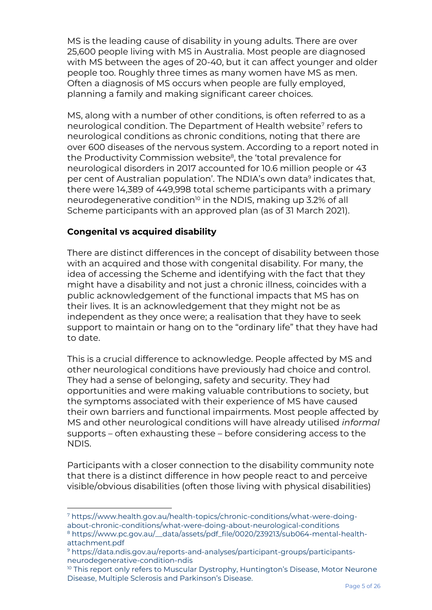MS is the leading cause of disability in young adults. There are over 25,600 people living with MS in Australia. Most people are diagnosed with MS between the ages of 20-40, but it can affect younger and older people too. Roughly three times as many women have MS as men. Often a diagnosis of MS occurs when people are fully employed, planning a family and making significant career choices.

MS, along with a number of other conditions, is often referred to as a neurological condition. The Department of Health website<sup>7</sup> refers to neurological conditions as chronic conditions, noting that there are over 600 diseases of the nervous system. According to a report noted in the Productivity Commission website<sup>8</sup>, the 'total prevalence for neurological disorders in 2017 accounted for 10.6 million people or 43 per cent of Australian population'. The NDIA's own data<sup>9</sup> indicates that, there were 14,389 of 449,998 total scheme participants with a primary neurodegenerative condition<sup>10</sup> in the NDIS, making up 3.2% of all Scheme participants with an approved plan (as of 31 March 2021).

# **Congenital vs acquired disability**

There are distinct differences in the concept of disability between those with an acquired and those with congenital disability. For many, the idea of accessing the Scheme and identifying with the fact that they might have a disability and not just a chronic illness, coincides with a public acknowledgement of the functional impacts that MS has on their lives. It is an acknowledgement that they might not be as independent as they once were; a realisation that they have to seek support to maintain or hang on to the "ordinary life" that they have had to date.

This is a crucial difference to acknowledge. People affected by MS and other neurological conditions have previously had choice and control. They had a sense of belonging, safety and security. They had opportunities and were making valuable contributions to society, but the symptoms associated with their experience of MS have caused their own barriers and functional impairments. Most people affected by MS and other neurological conditions will have already utilised *informal* supports – often exhausting these – before considering access to the NDIS.

Participants with a closer connection to the disability community note that there is a distinct difference in how people react to and perceive visible/obvious disabilities (often those living with physical disabilities)

<sup>7</sup> https://www.health.gov.au/health-topics/chronic-conditions/what-were-doingabout-chronic-conditions/what-were-doing-about-neurological-conditions

<sup>8</sup> https://www.pc.gov.au/\_\_data/assets/pdf\_file/0020/239213/sub064-mental-healthattachment.pdf

<sup>9</sup> https://data.ndis.gov.au/reports-and-analyses/participant-groups/participantsneurodegenerative-condition-ndis

<sup>&</sup>lt;sup>10</sup> This report only refers to Muscular Dystrophy, Huntington's Disease, Motor Neurone Disease, Multiple Sclerosis and Parkinson's Disease.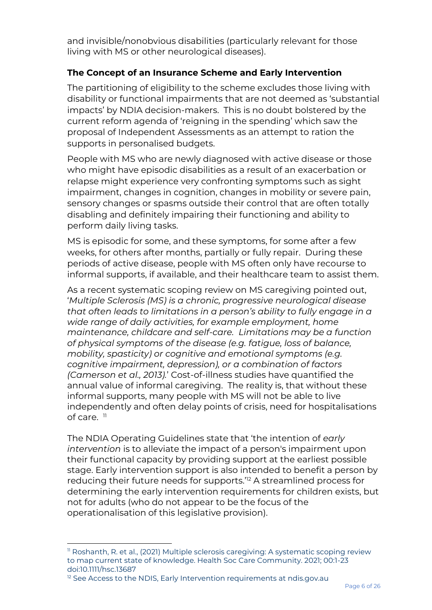and invisible/nonobvious disabilities (particularly relevant for those living with MS or other neurological diseases).

# **The Concept of an Insurance Scheme and Early Intervention**

The partitioning of eligibility to the scheme excludes those living with disability or functional impairments that are not deemed as 'substantial impacts' by NDIA decision-makers. This is no doubt bolstered by the current reform agenda of 'reigning in the spending' which saw the proposal of Independent Assessments as an attempt to ration the supports in personalised budgets.

People with MS who are newly diagnosed with active disease or those who might have episodic disabilities as a result of an exacerbation or relapse might experience very confronting symptoms such as sight impairment, changes in cognition, changes in mobility or severe pain, sensory changes or spasms outside their control that are often totally disabling and definitely impairing their functioning and ability to perform daily living tasks.

MS is episodic for some, and these symptoms, for some after a few weeks, for others after months, partially or fully repair. During these periods of active disease, people with MS often only have recourse to informal supports, if available, and their healthcare team to assist them.

As a recent systematic scoping review on MS caregiving pointed out, '*Multiple Sclerosis (MS) is a chronic, progressive neurological disease that often leads to limitations in a person's ability to fully engage in a wide range of daily activities, for example employment, home maintenance, childcare and self-care. Limitations may be a function of physical symptoms of the disease (e.g. fatigue, loss of balance, mobility, spasticity) or cognitive and emotional symptoms (e.g. cognitive impairment, depression), or a combination of factors (Camerson et al., 2013).*' Cost-of-illness studies have quantified the annual value of informal caregiving. The reality is, that without these informal supports, many people with MS will not be able to live independently and often delay points of crisis, need for hospitalisations of care.  $\mathbb{1}$ 

The NDIA Operating Guidelines state that 'the intention of *early intervention* is to alleviate the impact of a person's impairment upon their functional capacity by providing support at the earliest possible stage. Early intervention support is also intended to benefit a person by reducing their future needs for supports.'<sup>12</sup> A streamlined process for determining the early intervention requirements for children exists, but not for adults (who do not appear to be the focus of the operationalisation of this legislative provision).

<sup>&</sup>lt;sup>11</sup> Roshanth, R. et al., (2021) Multiple sclerosis caregiving: A systematic scoping review to map current state of knowledge. Health Soc Care Community. 2021; 00:1-23 doi:10.1111/hsc.13687

<sup>&</sup>lt;sup>12</sup> See Access to the NDIS, Early Intervention requirements at ndis.gov.au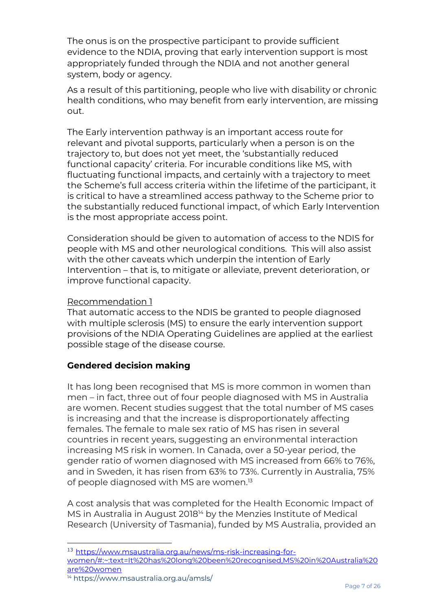The onus is on the prospective participant to provide sufficient evidence to the NDIA, proving that early intervention support is most appropriately funded through the NDIA and not another general system, body or agency.

As a result of this partitioning, people who live with disability or chronic health conditions, who may benefit from early intervention, are missing out.

The Early intervention pathway is an important access route for relevant and pivotal supports, particularly when a person is on the trajectory to, but does not yet meet, the 'substantially reduced functional capacity' criteria. For incurable conditions like MS, with fluctuating functional impacts, and certainly with a trajectory to meet the Scheme's full access criteria within the lifetime of the participant, it is critical to have a streamlined access pathway to the Scheme prior to the substantially reduced functional impact, of which Early Intervention is the most appropriate access point.

Consideration should be given to automation of access to the NDIS for people with MS and other neurological conditions. This will also assist with the other caveats which underpin the intention of Early Intervention – that is, to mitigate or alleviate, prevent deterioration, or improve functional capacity.

# Recommendation 1

That automatic access to the NDIS be granted to people diagnosed with multiple sclerosis (MS) to ensure the early intervention support provisions of the NDIA Operating Guidelines are applied at the earliest possible stage of the disease course.

# **Gendered decision making**

It has long been recognised that MS is more common in women than men – in fact, three out of four people diagnosed with MS in Australia are women. Recent studies suggest that the total number of MS cases is increasing and that the increase is disproportionately affecting females. The female to male sex ratio of MS has risen in several countries in recent years, suggesting an environmental interaction increasing MS risk in women. In Canada, over a 50-year period, the gender ratio of women diagnosed with MS increased from 66% to 76%, and in Sweden, it has risen from 63% to 73%. Currently in Australia, 75% of people diagnosed with MS are women.<sup>13</sup>

A cost analysis that was completed for the Health Economic Impact of MS in Australia in August 2018<sup>14</sup> by the Menzies Institute of Medical Research (University of Tasmania), funded by MS Australia, provided an

<sup>14</sup> https://www.msaustralia.org.au/amsls/

<sup>13</sup> [https://www.msaustralia.org.au/news/ms-risk-increasing-for-](https://www.msaustralia.org.au/news/ms-risk-increasing-for-women/#:~:text=It%20has%20long%20been%20recognised,MS%20in%20Australia%20are%20women)

[women/#:~:text=It%20has%20long%20been%20recognised,MS%20in%20Australia%20](https://www.msaustralia.org.au/news/ms-risk-increasing-for-women/#:~:text=It%20has%20long%20been%20recognised,MS%20in%20Australia%20are%20women) [are%20women](https://www.msaustralia.org.au/news/ms-risk-increasing-for-women/#:~:text=It%20has%20long%20been%20recognised,MS%20in%20Australia%20are%20women)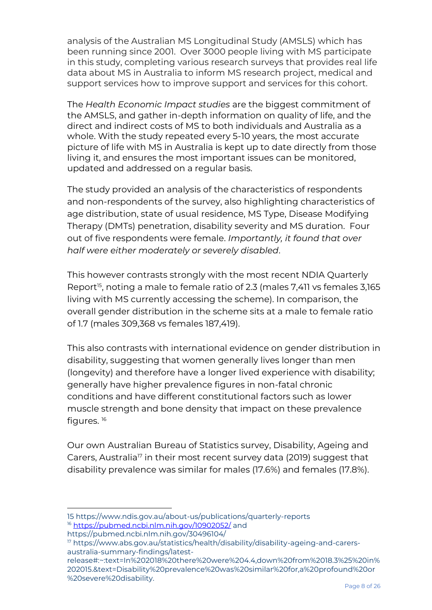analysis of the Australian MS Longitudinal Study (AMSLS) which has been running since 2001. Over 3000 people living with MS participate in this study, completing various research surveys that provides real life data about MS in Australia to inform MS research project, medical and support services how to improve support and services for this cohort.

The *Health Economic Impact studies* are the biggest commitment of the AMSLS, and gather in-depth information on quality of life, and the direct and indirect costs of MS to both individuals and Australia as a whole. With the study repeated every 5-10 years, the most accurate picture of life with MS in Australia is kept up to date directly from those living it, and ensures the most important issues can be monitored, updated and addressed on a regular basis.

The study provided an analysis of the characteristics of respondents and non-respondents of the survey, also highlighting characteristics of age distribution, state of usual residence, MS Type, Disease Modifying Therapy (DMTs) penetration, disability severity and MS duration. Four out of five respondents were female. *Importantly, it found that over half were either moderately or severely disabled*.

This however contrasts strongly with the most recent NDIA Quarterly Report<sup>15</sup>, noting a male to female ratio of 2.3 (males 7,411 vs females 3,165 living with MS currently accessing the scheme). In comparison, the overall gender distribution in the scheme sits at a male to female ratio of 1.7 (males 309,368 vs females 187,419).

This also contrasts with international evidence on gender distribution in disability, suggesting that women generally lives longer than men (longevity) and therefore have a longer lived experience with disability; generally have higher prevalence figures in non-fatal chronic conditions and have different constitutional factors such as lower muscle strength and bone density that impact on these prevalence figures. 16

Our own Australian Bureau of Statistics survey, Disability, Ageing and Carers, Australia<sup>17</sup> in their most recent survey data (2019) suggest that disability prevalence was similar for males (17.6%) and females (17.8%).

https://pubmed.ncbi.nlm.nih.gov/30496104/

<sup>15</sup> https://www.ndis.gov.au/about-us/publications/quarterly-reports <sup>16</sup> <https://pubmed.ncbi.nlm.nih.gov/10902052/> and

<sup>17</sup> https://www.abs.gov.au/statistics/health/disability/disability-ageing-and-carersaustralia-summary-findings/latest-

release#:~:text=In%202018%20there%20were%204.4,down%20from%2018.3%25%20in% 202015.&text=Disability%20prevalence%20was%20similar%20for,a%20profound%20or %20severe%20disability.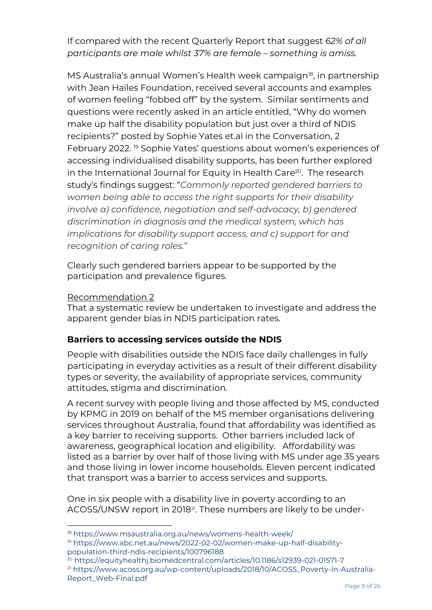If compared with the recent Quarterly Report that suggest *62% of all participants are male whilst 37% are female – something is amiss.*

MS Australia's annual Women's Health week campaign<sup>18</sup>, in partnership with Jean Hailes Foundation, received several accounts and examples of women feeling "fobbed off" by the system. Similar sentiments and questions were recently asked in an article entitled, "Why do women make up half the disability population but just over a third of NDIS recipients?" posted by Sophie Yates et.al in the Conversation, 2 February 2022. <sup>19</sup> Sophie Yates' questions about women's experiences of accessing individualised disability supports, has been further explored in the International Journal for Equity in Health Care<sup>20</sup>. The research study's findings suggest: "*Commonly reported gendered barriers to women being able to access the right supports for their disability involve a) confidence, negotiation and self-advocacy, b) gendered discrimination in diagnosis and the medical system, which has implications for disability support access, and c) support for and recognition of caring roles.*"

Clearly such gendered barriers appear to be supported by the participation and prevalence figures.

## Recommendation 2

That a systematic review be undertaken to investigate and address the apparent gender bias in NDIS participation rates.

# **Barriers to accessing services outside the NDIS**

People with disabilities outside the NDIS face daily challenges in fully participating in everyday activities as a result of their different disability types or severity, the availability of appropriate services, community attitudes, stigma and discrimination.

A recent survey with people living and those affected by MS, conducted by KPMG in 2019 on behalf of the MS member organisations delivering services throughout Australia, found that affordability was identified as a key barrier to receiving supports. Other barriers included lack of awareness, geographical location and eligibility. Affordability was listed as a barrier by over half of those living with MS under age 35 years and those living in lower income households. Eleven percent indicated that transport was a barrier to access services and supports.

One in six people with a disability live in poverty according to an ACOSS/UNSW report in 2018<sup>21</sup>. These numbers are likely to be under-

<sup>20</sup> https://equityhealthj.biomedcentral.com/articles/10.1186/s12939-021-01571-7 <sup>21</sup> https://www.acoss.org.au/wp-content/uploads/2018/10/ACOSS\_Poverty-in-Australia-Report\_Web-Final.pdf

<sup>18</sup> https://www.msaustralia.org.au/news/womens-health-week/

<sup>19</sup> https://www.abc.net.au/news/2022-02-02/women-make-up-half-disabilitypopulation-third-ndis-recipients/100796188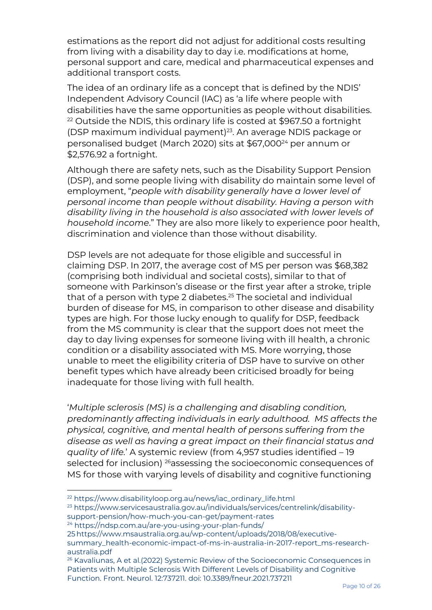estimations as the report did not adjust for additional costs resulting from living with a disability day to day i.e. modifications at home, personal support and care, medical and pharmaceutical expenses and additional transport costs.

The idea of an ordinary life as a concept that is defined by the NDIS' Independent Advisory Council (IAC) as 'a life where people with disabilities have the same opportunities as people without disabilities. <sup>22</sup> Outside the NDIS, this ordinary life is costed at \$967.50 a fortnight (DSP maximum individual payment)<sup>23</sup>. An average NDIS package or personalised budget (March 2020) sits at \$67,000<sup>24</sup> per annum or \$2,576.92 a fortnight.

Although there are safety nets, such as the Disability Support Pension (DSP), and some people living with disability do maintain some level of employment, "*people with disability generally have a lower level of personal income than people without disability. Having a person with disability living in the household is also associated with lower levels of household income*." They are also more likely to experience poor health, discrimination and violence than those without disability.

DSP levels are not adequate for those eligible and successful in claiming DSP. In 2017, the average cost of MS per person was \$68,382 (comprising both individual and societal costs), similar to that of someone with Parkinson's disease or the first year after a stroke, triple that of a person with type 2 diabetes.<sup>25</sup> The societal and individual burden of disease for MS, in comparison to other disease and disability types are high. For those lucky enough to qualify for DSP, feedback from the MS community is clear that the support does not meet the day to day living expenses for someone living with ill health, a chronic condition or a disability associated with MS. More worrying, those unable to meet the eligibility criteria of DSP have to survive on other benefit types which have already been criticised broadly for being inadequate for those living with full health.

'*Multiple sclerosis (MS) is a challenging and disabling condition, predominantly affecting individuals in early adulthood. MS affects the physical, cognitive, and mental health of persons suffering from the disease as well as having a great impact on their financial status and quality of life.*' A systemic review (from 4,957 studies identified – 19 selected for inclusion) <sup>26</sup>assessing the socioeconomic consequences of MS for those with varying levels of disability and cognitive functioning

<sup>24</sup> https://ndsp.com.au/are-you-using-your-plan-funds/

<sup>22</sup> https://www.disabilityloop.org.au/news/iac\_ordinary\_life.html

<sup>23</sup> https://www.servicesaustralia.gov.au/individuals/services/centrelink/disabilitysupport-pension/how-much-you-can-get/payment-rates

<sup>25</sup>https://www.msaustralia.org.au/wp-content/uploads/2018/08/executive-

summary\_health-economic-impact-of-ms-in-australia-in-2017-report\_ms-researchaustralia.pdf

<sup>&</sup>lt;sup>26</sup> Kavaliunas, A et al.(2022) Systemic Review of the Socioeconomic Consequences in Patients with Multiple Sclerosis With Different Levels of Disability and Cognitive Function. Front. Neurol. 12:737211. doi: 10.3389/fneur.2021.737211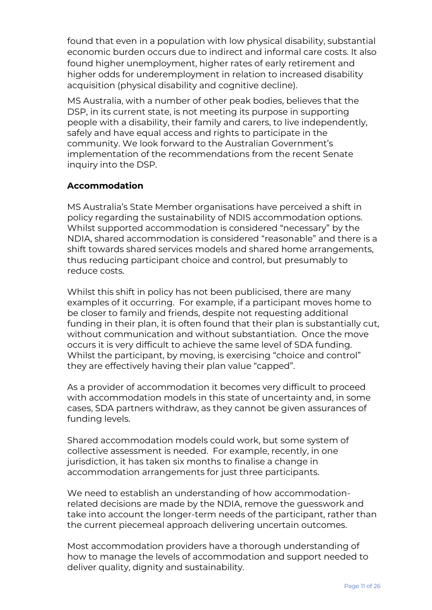found that even in a population with low physical disability, substantial economic burden occurs due to indirect and informal care costs. It also found higher unemployment, higher rates of early retirement and higher odds for underemployment in relation to increased disability acquisition (physical disability and cognitive decline).

MS Australia, with a number of other peak bodies, believes that the DSP, in its current state, is not meeting its purpose in supporting people with a disability, their family and carers, to live independently, safely and have equal access and rights to participate in the community. We look forward to the Australian Government's implementation of the recommendations from the recent Senate inquiry into the DSP.

# **Accommodation**

MS Australia's State Member organisations have perceived a shift in policy regarding the sustainability of NDIS accommodation options. Whilst supported accommodation is considered "necessary" by the NDIA, shared accommodation is considered "reasonable" and there is a shift towards shared services models and shared home arrangements, thus reducing participant choice and control, but presumably to reduce costs.

Whilst this shift in policy has not been publicised, there are many examples of it occurring. For example, if a participant moves home to be closer to family and friends, despite not requesting additional funding in their plan, it is often found that their plan is substantially cut, without communication and without substantiation. Once the move occurs it is very difficult to achieve the same level of SDA funding. Whilst the participant, by moving, is exercising "choice and control" they are effectively having their plan value "capped".

As a provider of accommodation it becomes very difficult to proceed with accommodation models in this state of uncertainty and, in some cases, SDA partners withdraw, as they cannot be given assurances of funding levels.

Shared accommodation models could work, but some system of collective assessment is needed. For example, recently, in one jurisdiction, it has taken six months to finalise a change in accommodation arrangements for just three participants.

We need to establish an understanding of how accommodationrelated decisions are made by the NDIA, remove the guesswork and take into account the longer-term needs of the participant, rather than the current piecemeal approach delivering uncertain outcomes.

Most accommodation providers have a thorough understanding of how to manage the levels of accommodation and support needed to deliver quality, dignity and sustainability.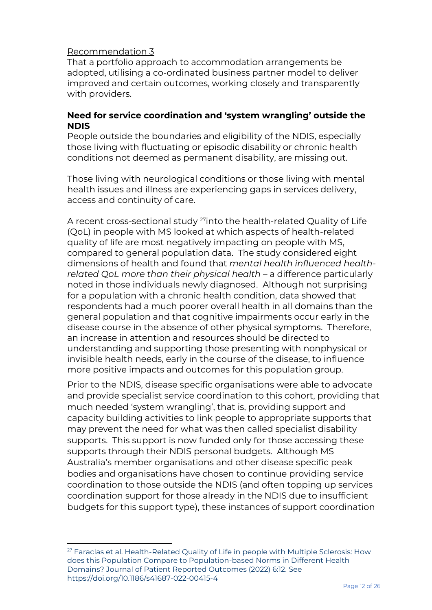# Recommendation 3

That a portfolio approach to accommodation arrangements be adopted, utilising a co-ordinated business partner model to deliver improved and certain outcomes, working closely and transparently with providers.

## **Need for service coordination and 'system wrangling' outside the NDIS**

People outside the boundaries and eligibility of the NDIS, especially those living with fluctuating or episodic disability or chronic health conditions not deemed as permanent disability, are missing out.

Those living with neurological conditions or those living with mental health issues and illness are experiencing gaps in services delivery, access and continuity of care.

A recent cross-sectional study 27into the health-related Quality of Life (QoL) in people with MS looked at which aspects of health-related quality of life are most negatively impacting on people with MS, compared to general population data. The study considered eight dimensions of health and found that *mental health influenced healthrelated QoL more than their physical health* – a difference particularly noted in those individuals newly diagnosed. Although not surprising for a population with a chronic health condition, data showed that respondents had a much poorer overall health in all domains than the general population and that cognitive impairments occur early in the disease course in the absence of other physical symptoms. Therefore, an increase in attention and resources should be directed to understanding and supporting those presenting with nonphysical or invisible health needs, early in the course of the disease, to influence more positive impacts and outcomes for this population group.

Prior to the NDIS, disease specific organisations were able to advocate and provide specialist service coordination to this cohort, providing that much needed 'system wrangling', that is, providing support and capacity building activities to link people to appropriate supports that may prevent the need for what was then called specialist disability supports. This support is now funded only for those accessing these supports through their NDIS personal budgets. Although MS Australia's member organisations and other disease specific peak bodies and organisations have chosen to continue providing service coordination to those outside the NDIS (and often topping up services coordination support for those already in the NDIS due to insufficient budgets for this support type), these instances of support coordination

<sup>&</sup>lt;sup>27</sup> Faraclas et al. Health-Related Quality of Life in people with Multiple Sclerosis: How does this Population Compare to Population-based Norms in Different Health Domains? Journal of Patient Reported Outcomes (2022) 6:12. See https://doi.org/10.1186/s41687-022-00415-4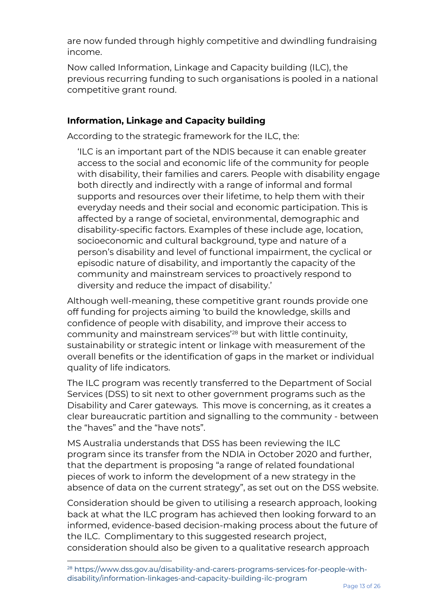are now funded through highly competitive and dwindling fundraising income.

Now called Information, Linkage and Capacity building (ILC), the previous recurring funding to such organisations is pooled in a national competitive grant round.

# **Information, Linkage and Capacity building**

According to the strategic framework for the ILC, the:

'ILC is an important part of the NDIS because it can enable greater access to the social and economic life of the community for people with disability, their families and carers. People with disability engage both directly and indirectly with a range of informal and formal supports and resources over their lifetime, to help them with their everyday needs and their social and economic participation. This is affected by a range of societal, environmental, demographic and disability-specific factors. Examples of these include age, location, socioeconomic and cultural background, type and nature of a person's disability and level of functional impairment, the cyclical or episodic nature of disability, and importantly the capacity of the community and mainstream services to proactively respond to diversity and reduce the impact of disability.'

Although well-meaning, these competitive grant rounds provide one off funding for projects aiming 'to build the knowledge, skills and confidence of people with disability, and improve their access to community and mainstream services'<sup>28</sup> but with little continuity, sustainability or strategic intent or linkage with measurement of the overall benefits or the identification of gaps in the market or individual quality of life indicators.

The ILC program was recently transferred to the Department of Social Services (DSS) to sit next to other government programs such as the Disability and Carer gateways. This move is concerning, as it creates a clear bureaucratic partition and signalling to the community - between the "haves" and the "have nots".

MS Australia understands that DSS has been reviewing the ILC program since its transfer from the NDIA in October 2020 and further, that the department is proposing "a range of related foundational pieces of work to inform the development of a new strategy in the absence of data on the current strategy", as set out on the DSS website.

Consideration should be given to utilising a research approach, looking back at what the ILC program has achieved then looking forward to an informed, evidence-based decision-making process about the future of the ILC. Complimentary to this suggested research project, consideration should also be given to a qualitative research approach

<sup>28</sup> https://www.dss.gov.au/disability-and-carers-programs-services-for-people-withdisability/information-linkages-and-capacity-building-ilc-program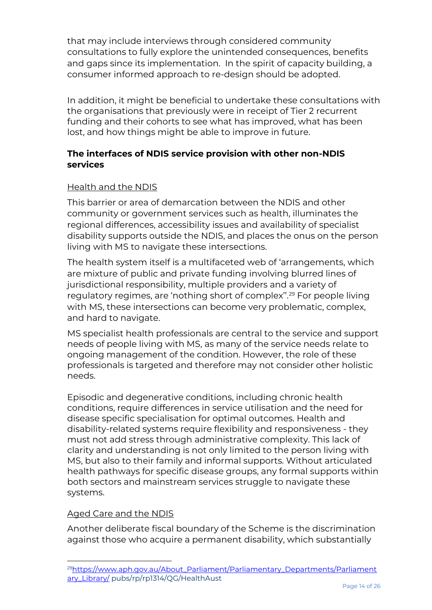that may include interviews through considered community consultations to fully explore the unintended consequences, benefits and gaps since its implementation. In the spirit of capacity building, a consumer informed approach to re-design should be adopted.

In addition, it might be beneficial to undertake these consultations with the organisations that previously were in receipt of Tier 2 recurrent funding and their cohorts to see what has improved, what has been lost, and how things might be able to improve in future.

# **The interfaces of NDIS service provision with other non-NDIS services**

# Health and the NDIS

This barrier or area of demarcation between the NDIS and other community or government services such as health, illuminates the regional differences, accessibility issues and availability of specialist disability supports outside the NDIS, and places the onus on the person living with MS to navigate these intersections.

The health system itself is a multifaceted web of 'arrangements, which are mixture of public and private funding involving blurred lines of jurisdictional responsibility, multiple providers and a variety of regulatory regimes, are 'nothing short of complex''.<sup>29</sup> For people living with MS, these intersections can become very problematic, complex, and hard to navigate.

MS specialist health professionals are central to the service and support needs of people living with MS, as many of the service needs relate to ongoing management of the condition. However, the role of these professionals is targeted and therefore may not consider other holistic needs.

Episodic and degenerative conditions, including chronic health conditions, require differences in service utilisation and the need for disease specific specialisation for optimal outcomes. Health and disability-related systems require flexibility and responsiveness - they must not add stress through administrative complexity. This lack of clarity and understanding is not only limited to the person living with MS, but also to their family and informal supports. Without articulated health pathways for specific disease groups, any formal supports within both sectors and mainstream services struggle to navigate these systems.

# Aged Care and the NDIS

Another deliberate fiscal boundary of the Scheme is the discrimination against those who acquire a permanent disability, which substantially

<sup>29</sup>[https://www.aph.gov.au/About\\_Parliament/Parliamentary\\_Departments/Parliament](https://www.aph.gov.au/About_Parliament/Parliamentary_Departments/Parliamentary_Library/) [ary\\_Library/](https://www.aph.gov.au/About_Parliament/Parliamentary_Departments/Parliamentary_Library/) pubs/rp/rp1314/QG/HealthAust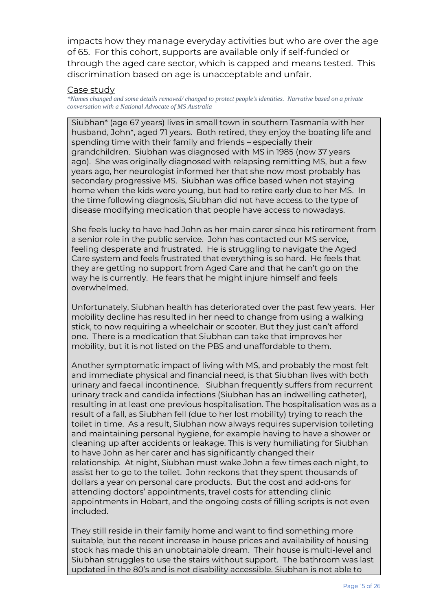impacts how they manage everyday activities but who are over the age of 65. For this cohort, supports are available only if self-funded or through the aged care sector, which is capped and means tested. This discrimination based on age is unacceptable and unfair.

#### Case study

*\*Names changed and some details removed/ changed to protect people's identities. Narrative based on a private conversation with a National Advocate of MS Australia*

Siubhan\* (age 67 years) lives in small town in southern Tasmania with her husband, John\*, aged 71 years. Both retired, they enjoy the boating life and spending time with their family and friends – especially their grandchildren. Siubhan was diagnosed with MS in 1985 (now 37 years ago). She was originally diagnosed with relapsing remitting MS, but a few years ago, her neurologist informed her that she now most probably has secondary progressive MS. Siubhan was office based when not staying home when the kids were young, but had to retire early due to her MS. In the time following diagnosis, Siubhan did not have access to the type of disease modifying medication that people have access to nowadays.

She feels lucky to have had John as her main carer since his retirement from a senior role in the public service. John has contacted our MS service, feeling desperate and frustrated. He is struggling to navigate the Aged Care system and feels frustrated that everything is so hard. He feels that they are getting no support from Aged Care and that he can't go on the way he is currently. He fears that he might injure himself and feels overwhelmed.

Unfortunately, Siubhan health has deteriorated over the past few years. Her mobility decline has resulted in her need to change from using a walking stick, to now requiring a wheelchair or scooter. But they just can't afford one. There is a medication that Siubhan can take that improves her mobility, but it is not listed on the PBS and unaffordable to them.

Another symptomatic impact of living with MS, and probably the most felt and immediate physical and financial need, is that Siubhan lives with both urinary and faecal incontinence. Siubhan frequently suffers from recurrent urinary track and candida infections (Siubhan has an indwelling catheter), resulting in at least one previous hospitalisation. The hospitalisation was as a result of a fall, as Siubhan fell (due to her lost mobility) trying to reach the toilet in time. As a result, Siubhan now always requires supervision toileting and maintaining personal hygiene, for example having to have a shower or cleaning up after accidents or leakage. This is very humiliating for Siubhan to have John as her carer and has significantly changed their relationship. At night, Siubhan must wake John a few times each night, to assist her to go to the toilet. John reckons that they spent thousands of dollars a year on personal care products. But the cost and add-ons for attending doctors' appointments, travel costs for attending clinic appointments in Hobart, and the ongoing costs of filling scripts is not even included.

They still reside in their family home and want to find something more suitable, but the recent increase in house prices and availability of housing stock has made this an unobtainable dream. Their house is multi-level and Siubhan struggles to use the stairs without support. The bathroom was last updated in the 80's and is not disability accessible. Siubhan is not able to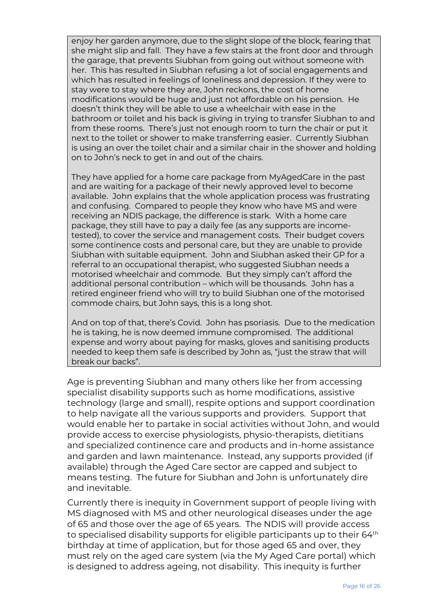enjoy her garden anymore, due to the slight slope of the block, fearing that she might slip and fall. They have a few stairs at the front door and through the garage, that prevents Siubhan from going out without someone with her. This has resulted in Siubhan refusing a lot of social engagements and which has resulted in feelings of loneliness and depression. If they were to stay were to stay where they are, John reckons, the cost of home modifications would be huge and just not affordable on his pension. He doesn't think they will be able to use a wheelchair with ease in the bathroom or toilet and his back is giving in trying to transfer Siubhan to and from these rooms. There's just not enough room to turn the chair or put it next to the toilet or shower to make transferring easier. Currently Siubhan is using an over the toilet chair and a similar chair in the shower and holding on to John's neck to get in and out of the chairs.

They have applied for a home care package from MyAgedCare in the past and are waiting for a package of their newly approved level to become available. John explains that the whole application process was frustrating and confusing. Compared to people they know who have MS and were receiving an NDIS package, the difference is stark. With a home care package, they still have to pay a daily fee (as any supports are incometested), to cover the service and management costs. Their budget covers some continence costs and personal care, but they are unable to provide Siubhan with suitable equipment. John and Siubhan asked their GP for a referral to an occupational therapist, who suggested Siubhan needs a motorised wheelchair and commode. But they simply can't afford the additional personal contribution – which will be thousands. John has a retired engineer friend who will try to build Siubhan one of the motorised commode chairs, but John says, this is a long shot.

And on top of that, there's Covid. John has psoriasis. Due to the medication he is taking, he is now deemed immune compromised. The additional expense and worry about paying for masks, gloves and sanitising products needed to keep them safe is described by John as, "just the straw that will break our backs".

Age is preventing Siubhan and many others like her from accessing specialist disability supports such as home modifications, assistive technology (large and small), respite options and support coordination to help navigate all the various supports and providers. Support that would enable her to partake in social activities without John, and would provide access to exercise physiologists, physio-therapists, dietitians and specialized continence care and products and in-home assistance and garden and lawn maintenance. Instead, any supports provided (if available) through the Aged Care sector are capped and subject to means testing. The future for Siubhan and John is unfortunately dire and inevitable.

Currently there is inequity in Government support of people living with MS diagnosed with MS and other neurological diseases under the age of 65 and those over the age of 65 years. The NDIS will provide access to specialised disability supports for eligible participants up to their 64<sup>th</sup> birthday at time of application, but for those aged 65 and over, they must rely on the aged care system (via the My Aged Care portal) which is designed to address ageing, not disability. This inequity is further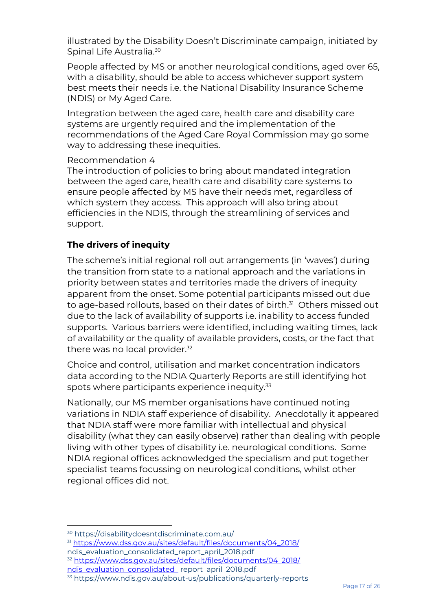illustrated by the Disability Doesn't Discriminate campaign, initiated by Spinal Life Australia.<sup>30</sup>

People affected by MS or another neurological conditions, aged over 65, with a disability, should be able to access whichever support system best meets their needs i.e. the National Disability Insurance Scheme (NDIS) or My Aged Care.

Integration between the aged care, health care and disability care systems are urgently required and the implementation of the recommendations of the Aged Care Royal Commission may go some way to addressing these inequities.

## Recommendation 4

The introduction of policies to bring about mandated integration between the aged care, health care and disability care systems to ensure people affected by MS have their needs met, regardless of which system they access. This approach will also bring about efficiencies in the NDIS, through the streamlining of services and support.

# **The drivers of inequity**

The scheme's initial regional roll out arrangements (in 'waves') during the transition from state to a national approach and the variations in priority between states and territories made the drivers of inequity apparent from the onset. Some potential participants missed out due to age-based rollouts, based on their dates of birth.<sup>31</sup> Others missed out due to the lack of availability of supports i.e. inability to access funded supports. Various barriers were identified, including waiting times, lack of availability or the quality of available providers, costs, or the fact that there was no local provider.<sup>32</sup>

Choice and control, utilisation and market concentration indicators data according to the NDIA Quarterly Reports are still identifying hot spots where participants experience inequity. 33

Nationally, our MS member organisations have continued noting variations in NDIA staff experience of disability. Anecdotally it appeared that NDIA staff were more familiar with intellectual and physical disability (what they can easily observe) rather than dealing with people living with other types of disability i.e. neurological conditions. Some NDIA regional offices acknowledged the specialism and put together specialist teams focussing on neurological conditions, whilst other regional offices did not.

<sup>31</sup> [https://www.dss.gov.au/sites/default/files/documents/04\\_2018/](https://www.dss.gov.au/sites/default/files/documents/04_2018/) ndis\_evaluation\_consolidated\_report\_april\_2018.pdf

<sup>32</sup> [https://www.dss.gov.au/sites/default/files/documents/04\\_2018/](https://www.dss.gov.au/sites/default/files/documents/04_2018/%20ndis_evaluation_consolidated_) [ndis\\_evaluation\\_consolidated\\_](https://www.dss.gov.au/sites/default/files/documents/04_2018/%20ndis_evaluation_consolidated_) report\_april\_2018.pdf

<sup>30</sup> https://disabilitydoesntdiscriminate.com.au/

<sup>33</sup> https://www.ndis.gov.au/about-us/publications/quarterly-reports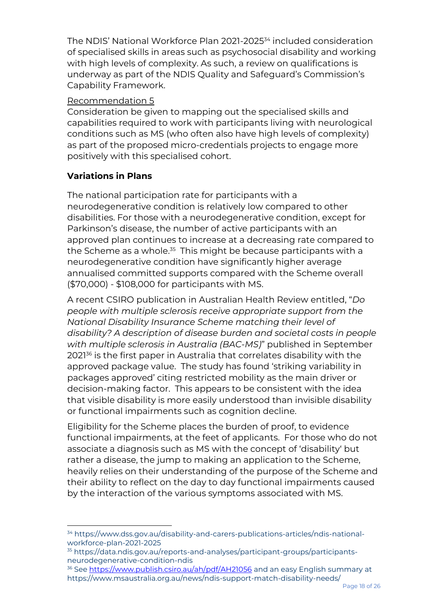The NDIS' National Workforce Plan 2021-2025<sup>34</sup> included consideration of specialised skills in areas such as psychosocial disability and working with high levels of complexity. As such, a review on qualifications is underway as part of the NDIS Quality and Safeguard's Commission's Capability Framework.

# Recommendation 5

Consideration be given to mapping out the specialised skills and capabilities required to work with participants living with neurological conditions such as MS (who often also have high levels of complexity) as part of the proposed micro-credentials projects to engage more positively with this specialised cohort.

# **Variations in Plans**

The national participation rate for participants with a neurodegenerative condition is relatively low compared to other disabilities. For those with a neurodegenerative condition, except for Parkinson's disease, the number of active participants with an approved plan continues to increase at a decreasing rate compared to the Scheme as a whole.<sup>35</sup> This might be because participants with a neurodegenerative condition have significantly higher average annualised committed supports compared with the Scheme overall (\$70,000) - \$108,000 for participants with MS.

A recent CSIRO publication in Australian Health Review entitled, "*Do people with multiple sclerosis receive appropriate support from the National Disability Insurance Scheme matching their level of disability? A description of disease burden and societal costs in people with multiple sclerosis in Australia (BAC-MS)*" published in September 2021<sup>36</sup> is the first paper in Australia that correlates disability with the approved package value. The study has found 'striking variability in packages approved' citing restricted mobility as the main driver or decision-making factor. This appears to be consistent with the idea that visible disability is more easily understood than invisible disability or functional impairments such as cognition decline.

Eligibility for the Scheme places the burden of proof, to evidence functional impairments, at the feet of applicants. For those who do not associate a diagnosis such as MS with the concept of 'disability' but rather a disease, the jump to making an application to the Scheme, heavily relies on their understanding of the purpose of the Scheme and their ability to reflect on the day to day functional impairments caused by the interaction of the various symptoms associated with MS.

<sup>34</sup> https://www.dss.gov.au/disability-and-carers-publications-articles/ndis-nationalworkforce-plan-2021-2025

<sup>35</sup> https://data.ndis.gov.au/reports-and-analyses/participant-groups/participantsneurodegenerative-condition-ndis

<sup>&</sup>lt;sup>36</sup> See<https://www.publish.csiro.au/ah/pdf/AH21056> and an easy English summary at https://www.msaustralia.org.au/news/ndis-support-match-disability-needs/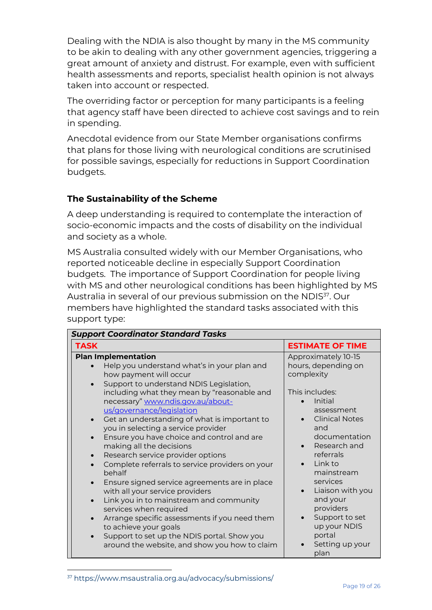Dealing with the NDIA is also thought by many in the MS community to be akin to dealing with any other government agencies, triggering a great amount of anxiety and distrust. For example, even with sufficient health assessments and reports, specialist health opinion is not always taken into account or respected.

The overriding factor or perception for many participants is a feeling that agency staff have been directed to achieve cost savings and to rein in spending.

Anecdotal evidence from our State Member organisations confirms that plans for those living with neurological conditions are scrutinised for possible savings, especially for reductions in Support Coordination budgets.

# **The Sustainability of the Scheme**

A deep understanding is required to contemplate the interaction of socio-economic impacts and the costs of disability on the individual and society as a whole.

MS Australia consulted widely with our Member Organisations, who reported noticeable decline in especially Support Coordination budgets. The importance of Support Coordination for people living with MS and other neurological conditions has been highlighted by MS Australia in several of our previous submission on the NDIS<sup>37</sup>. Our members have highlighted the standard tasks associated with this support type:

| <b>Support Coordinator Standard Tasks</b>                                                                                                                                                                                                                                                                                                                                                                                                                                                                                                                                                                                                                                                                                                                                                                                                                                                                                 |                                                                                                                                                                                                                                                                                                                                                                      |
|---------------------------------------------------------------------------------------------------------------------------------------------------------------------------------------------------------------------------------------------------------------------------------------------------------------------------------------------------------------------------------------------------------------------------------------------------------------------------------------------------------------------------------------------------------------------------------------------------------------------------------------------------------------------------------------------------------------------------------------------------------------------------------------------------------------------------------------------------------------------------------------------------------------------------|----------------------------------------------------------------------------------------------------------------------------------------------------------------------------------------------------------------------------------------------------------------------------------------------------------------------------------------------------------------------|
| <b>TASK</b>                                                                                                                                                                                                                                                                                                                                                                                                                                                                                                                                                                                                                                                                                                                                                                                                                                                                                                               | <b>ESTIMATE OF TIME</b>                                                                                                                                                                                                                                                                                                                                              |
| <b>Plan Implementation</b><br>Help you understand what's in your plan and<br>how payment will occur<br>Support to understand NDIS Legislation,<br>$\bullet$<br>including what they mean by "reasonable and<br>necessary" www.ndis.gov.au/about-<br>us/governance/legislation<br>Get an understanding of what is important to<br>you in selecting a service provider<br>Ensure you have choice and control and are<br>$\bullet$<br>making all the decisions<br>Research service provider options<br>$\bullet$<br>Complete referrals to service providers on your<br>behalf<br>Ensure signed service agreements are in place<br>with all your service providers<br>Link you in to mainstream and community<br>$\bullet$<br>services when required<br>Arrange specific assessments if you need them<br>to achieve your goals<br>Support to set up the NDIS portal. Show you<br>around the website, and show you how to claim | Approximately 10-15<br>hours, depending on<br>complexity<br>This includes:<br>Initial<br>assessment<br><b>Clinical Notes</b><br>and<br>documentation<br>Research and<br>referrals<br>Link to<br>$\bullet$<br>mainstream<br>services<br>Liaison with you<br>$\bullet$<br>and your<br>providers<br>Support to set<br>up your NDIS<br>portal<br>Setting up your<br>plan |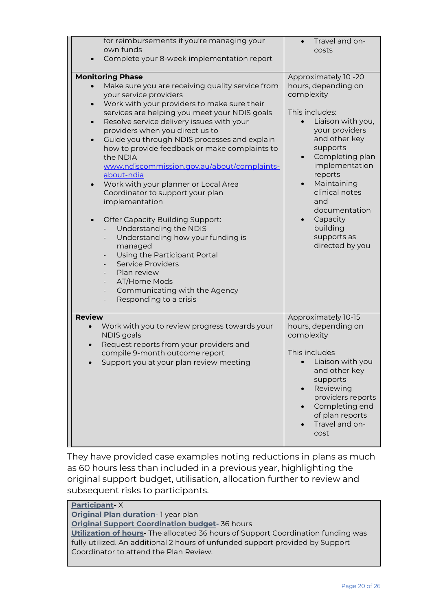| for reimbursements if you're managing your<br>own funds                                                                                                                                                                                                                                                                                                                                                                                                                                                                                                                                                                                                                                                                                                                                                                                                    | Travel and on-                                                                                                                                                                                                                                                                                                                  |
|------------------------------------------------------------------------------------------------------------------------------------------------------------------------------------------------------------------------------------------------------------------------------------------------------------------------------------------------------------------------------------------------------------------------------------------------------------------------------------------------------------------------------------------------------------------------------------------------------------------------------------------------------------------------------------------------------------------------------------------------------------------------------------------------------------------------------------------------------------|---------------------------------------------------------------------------------------------------------------------------------------------------------------------------------------------------------------------------------------------------------------------------------------------------------------------------------|
|                                                                                                                                                                                                                                                                                                                                                                                                                                                                                                                                                                                                                                                                                                                                                                                                                                                            | costs                                                                                                                                                                                                                                                                                                                           |
| Complete your 8-week implementation report                                                                                                                                                                                                                                                                                                                                                                                                                                                                                                                                                                                                                                                                                                                                                                                                                 |                                                                                                                                                                                                                                                                                                                                 |
| <b>Monitoring Phase</b><br>Make sure you are receiving quality service from<br>your service providers<br>Work with your providers to make sure their<br>$\bullet$<br>services are helping you meet your NDIS goals<br>Resolve service delivery issues with your<br>$\bullet$<br>providers when you direct us to<br>Guide you through NDIS processes and explain<br>$\bullet$<br>how to provide feedback or make complaints to<br>the NDIA<br>www.ndiscommission.gov.au/about/complaints-<br>about-ndia<br>Work with your planner or Local Area<br>$\bullet$<br>Coordinator to support your plan<br>implementation<br><b>Offer Capacity Building Support:</b><br>$\bullet$<br>Understanding the NDIS<br>Understanding how your funding is<br>$\overline{\phantom{0}}$<br>managed<br>Using the Participant Portal<br><b>Service Providers</b><br>Plan review | Approximately 10 -20<br>hours, depending on<br>complexity<br>This includes:<br>Liaison with you,<br>your providers<br>and other key<br>supports<br>Completing plan<br>$\bullet$<br>implementation<br>reports<br>Maintaining<br>clinical notes<br>and<br>documentation<br>Capacity<br>building<br>supports as<br>directed by you |
| AT/Home Mods<br>Communicating with the Agency<br>$\qquad \qquad \blacksquare$<br>Responding to a crisis                                                                                                                                                                                                                                                                                                                                                                                                                                                                                                                                                                                                                                                                                                                                                    |                                                                                                                                                                                                                                                                                                                                 |
|                                                                                                                                                                                                                                                                                                                                                                                                                                                                                                                                                                                                                                                                                                                                                                                                                                                            |                                                                                                                                                                                                                                                                                                                                 |
| <b>Review</b><br>Work with you to review progress towards your<br>NDIS goals<br>Request reports from your providers and<br>compile 9-month outcome report<br>Support you at your plan review meeting                                                                                                                                                                                                                                                                                                                                                                                                                                                                                                                                                                                                                                                       | Approximately 10-15<br>hours, depending on<br>complexity<br>This includes<br>Liaison with you<br>and other key<br>supports<br>Reviewing<br>providers reports<br>Completing end<br>of plan reports<br>Travel and on-<br>cost                                                                                                     |

They have provided case examples noting reductions in plans as much as 60 hours less than included in a previous year, highlighting the original support budget, utilisation, allocation further to review and subsequent risks to participants.

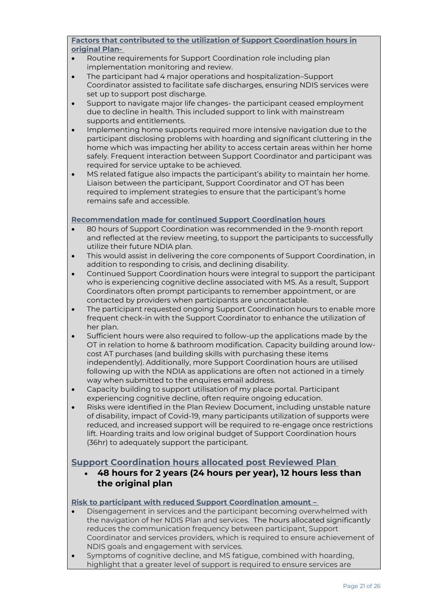**Factors that contributed to the utilization of Support Coordination hours in original Plan-**

- Routine requirements for Support Coordination role including plan implementation monitoring and review.
- The participant had 4 major operations and hospitalization–Support Coordinator assisted to facilitate safe discharges, ensuring NDIS services were set up to support post discharge.
- Support to navigate major life changes- the participant ceased employment due to decline in health. This included support to link with mainstream supports and entitlements.
- Implementing home supports required more intensive navigation due to the participant disclosing problems with hoarding and significant cluttering in the home which was impacting her ability to access certain areas within her home safely. Frequent interaction between Support Coordinator and participant was required for service uptake to be achieved.
- MS related fatigue also impacts the participant's ability to maintain her home. Liaison between the participant, Support Coordinator and OT has been required to implement strategies to ensure that the participant's home remains safe and accessible.

#### **Recommendation made for continued Support Coordination hours**

- 80 hours of Support Coordination was recommended in the 9-month report and reflected at the review meeting, to support the participants to successfully utilize their future NDIA plan.
- This would assist in delivering the core components of Support Coordination, in addition to responding to crisis, and declining disability.
- Continued Support Coordination hours were integral to support the participant who is experiencing cognitive decline associated with MS. As a result, Support Coordinators often prompt participants to remember appointment, or are contacted by providers when participants are uncontactable.
- The participant requested ongoing Support Coordination hours to enable more frequent check-in with the Support Coordinator to enhance the utilization of her plan.
- Sufficient hours were also required to follow-up the applications made by the OT in relation to home & bathroom modification. Capacity building around lowcost AT purchases (and building skills with purchasing these items independently). Additionally, more Support Coordination hours are utilised following up with the NDIA as applications are often not actioned in a timely way when submitted to the enquires email address.
- Capacity building to support utilisation of my place portal. Participant experiencing cognitive decline, often require ongoing education.
- Risks were identified in the Plan Review Document, including unstable nature of disability, impact of Covid-19, many participants utilization of supports were reduced, and increased support will be required to re-engage once restrictions lift. Hoarding traits and low original budget of Support Coordination hours (36hr) to adequately support the participant.

#### **Support Coordination hours allocated post Reviewed Plan**

• **48 hours for 2 years (24 hours per year), 12 hours less than the original plan**

**Risk to participant with reduced Support Coordination amount –**

- Disengagement in services and the participant becoming overwhelmed with the navigation of her NDIS Plan and services. The hours allocated significantly reduces the communication frequency between participant, Support Coordinator and services providers, which is required to ensure achievement of NDIS goals and engagement with services.
- Symptoms of cognitive decline, and MS fatigue, combined with hoarding, highlight that a greater level of support is required to ensure services are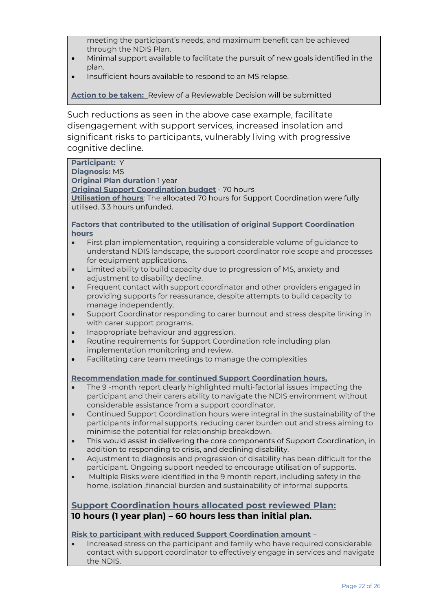meeting the participant's needs, and maximum benefit can be achieved through the NDIS Plan.

- Minimal support available to facilitate the pursuit of new goals identified in the plan.
- Insufficient hours available to respond to an MS relapse.

**Action to be taken:** Review of a Reviewable Decision will be submitted

Such reductions as seen in the above case example, facilitate disengagement with support services, increased insolation and significant risks to participants, vulnerably living with progressive cognitive decline.

**Participant:** Y **Diagnosis:** MS **Original Plan duration** 1 year **Original Support Coordination budget** - 70 hours **Utilisation of hours**: The allocated 70 hours for Support Coordination were fully utilised. 3.3 hours unfunded.

#### **Factors that contributed to the utilisation of original Support Coordination hours**

- First plan implementation, requiring a considerable volume of guidance to understand NDIS landscape, the support coordinator role scope and processes for equipment applications.
- Limited ability to build capacity due to progression of MS, anxiety and adjustment to disability decline.
- Frequent contact with support coordinator and other providers engaged in providing supports for reassurance, despite attempts to build capacity to manage independently.
- Support Coordinator responding to carer burnout and stress despite linking in with carer support programs.
- Inappropriate behaviour and aggression.
- Routine requirements for Support Coordination role including plan implementation monitoring and review.
- Facilitating care team meetings to manage the complexities

#### **Recommendation made for continued Support Coordination hours,**

- The 9 -month report clearly highlighted multi-factorial issues impacting the participant and their carers ability to navigate the NDIS environment without considerable assistance from a support coordinator.
- Continued Support Coordination hours were integral in the sustainability of the participants informal supports, reducing carer burden out and stress aiming to minimise the potential for relationship breakdown.
- This would assist in delivering the core components of Support Coordination, in addition to responding to crisis, and declining disability.
- Adjustment to diagnosis and progression of disability has been difficult for the participant. Ongoing support needed to encourage utilisation of supports.
- Multiple Risks were identified in the 9 month report, including safety in the home, isolation ,financial burden and sustainability of informal supports.

## **Support Coordination hours allocated post reviewed Plan: 10 hours (1 year plan) – 60 hours less than initial plan.**

#### **Risk to participant with reduced Support Coordination amount** –

• Increased stress on the participant and family who have required considerable contact with support coordinator to effectively engage in services and navigate the NDIS.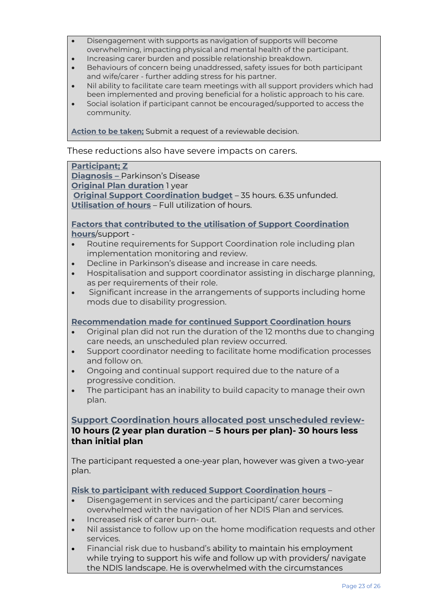- Disengagement with supports as navigation of supports will become overwhelming, impacting physical and mental health of the participant.
- Increasing carer burden and possible relationship breakdown.
- Behaviours of concern being unaddressed, safety issues for both participant and wife/carer - further adding stress for his partner.
- Nil ability to facilitate care team meetings with all support providers which had been implemented and proving beneficial for a holistic approach to his care.
- Social isolation if participant cannot be encouraged/supported to access the community.

**Action to be taken;** Submit a request of a reviewable decision.

These reductions also have severe impacts on carers.

#### **Participant; Z**

**Diagnosis –** Parkinson's Disease **Original Plan duration** 1 year **Original Support Coordination budget** – 35 hours. 6.35 unfunded. **Utilisation of hours** – Full utilization of hours.

#### **Factors that contributed to the utilisation of Support Coordination hours**/support -

- Routine requirements for Support Coordination role including plan implementation monitoring and review.
- Decline in Parkinson's disease and increase in care needs.
- Hospitalisation and support coordinator assisting in discharge planning, as per requirements of their role.
- Significant increase in the arrangements of supports including home mods due to disability progression.

#### **Recommendation made for continued Support Coordination hours**

- Original plan did not run the duration of the 12 months due to changing care needs, an unscheduled plan review occurred.
- Support coordinator needing to facilitate home modification processes and follow on.
- Ongoing and continual support required due to the nature of a progressive condition.
- The participant has an inability to build capacity to manage their own plan.

# **Support Coordination hours allocated post unscheduled review-10 hours (2 year plan duration – 5 hours per plan)- 30 hours less than initial plan**

The participant requested a one-year plan, however was given a two-year plan.

#### **Risk to participant with reduced Support Coordination hours** –

- Disengagement in services and the participant/ carer becoming overwhelmed with the navigation of her NDIS Plan and services.
- Increased risk of carer burn- out.
- Nil assistance to follow up on the home modification requests and other services.
- Financial risk due to husband's ability to maintain his employment while trying to support his wife and follow up with providers/ navigate the NDIS landscape. He is overwhelmed with the circumstances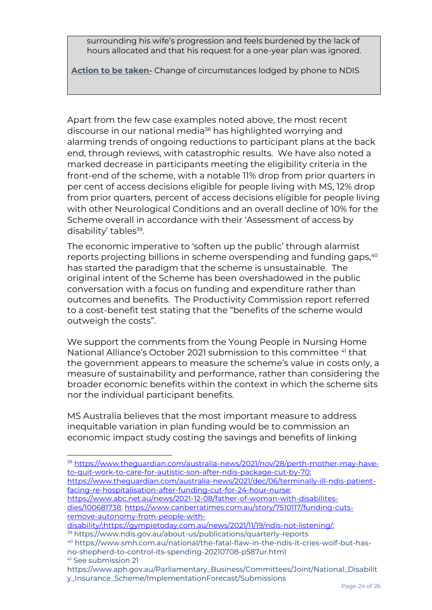surrounding his wife's progression and feels burdened by the lack of hours allocated and that his request for a one-year plan was ignored.

**Action to be taken-** Change of circumstances lodged by phone to NDIS

Apart from the few case examples noted above, the most recent discourse in our national media<sup>38</sup> has highlighted worrying and alarming trends of ongoing reductions to participant plans at the back end, through reviews, with catastrophic results. We have also noted a marked decrease in participants meeting the eligibility criteria in the front-end of the scheme, with a notable 11% drop from prior quarters in per cent of access decisions eligible for people living with MS, 12% drop from prior quarters, percent of access decisions eligible for people living with other Neurological Conditions and an overall decline of 10% for the Scheme overall in accordance with their 'Assessment of access by disability' tables<sup>39</sup>.

The economic imperative to 'soften up the public' through alarmist reports projecting billions in scheme overspending and funding gaps,<sup>40</sup> has started the paradigm that the scheme is unsustainable. The original intent of the Scheme has been overshadowed in the public conversation with a focus on funding and expenditure rather than outcomes and benefits. The Productivity Commission report referred to a cost-benefit test stating that the "benefits of the scheme would outweigh the costs".

We support the comments from the Young People in Nursing Home National Alliance's October 2021 submission to this committee <sup>41</sup> that the government appears to measure the scheme's value in costs only, a measure of sustainability and performance, rather than considering the broader economic benefits within the context in which the scheme sits nor the individual participant benefits.

MS Australia believes that the most important measure to address inequitable variation in plan funding would be to commission an economic impact study costing the savings and benefits of linking

<sup>38</sup> [https://www.theguardian.com/australia-news/2021/nov/28/perth-mother-may-have](https://www.theguardian.com/australia-news/2021/nov/28/perth-mother-may-have-to-quit-work-to-care-for-autistic-son-after-ndis-package-cut-by-70)[to-quit-work-to-care-for-autistic-son-after-ndis-package-cut-by-70;](https://www.theguardian.com/australia-news/2021/nov/28/perth-mother-may-have-to-quit-work-to-care-for-autistic-son-after-ndis-package-cut-by-70) [https://www.theguardian.com/australia-news/2021/dec/06/terminally-ill-ndis-patient-](https://www.theguardian.com/australia-news/2021/dec/06/terminally-ill-ndis-patient-facing-re-hospitalisation-after-funding-cut-for-24-hour-nurse)

[facing-re-hospitalisation-after-funding-cut-for-24-hour-nurse;](https://www.theguardian.com/australia-news/2021/dec/06/terminally-ill-ndis-patient-facing-re-hospitalisation-after-funding-cut-for-24-hour-nurse)  [https://www.abc.net.au/news/2021-12-08/father-of-woman-with-disabilites](https://www.abc.net.au/news/2021-12-08/father-of-woman-with-disabilites-dies/100681738)[dies/100681738;](https://www.abc.net.au/news/2021-12-08/father-of-woman-with-disabilites-dies/100681738) [https://www.canberratimes.com.au/story/7510117/funding-cuts-](https://www.canberratimes.com.au/story/7510117/funding-cuts-remove-autonomy-from-people-with-disability/;https:/gympietoday.com.au/news/2021/11/19/ndis-not-listening/)

[remove-autonomy-from-people-with-](https://www.canberratimes.com.au/story/7510117/funding-cuts-remove-autonomy-from-people-with-disability/;https:/gympietoday.com.au/news/2021/11/19/ndis-not-listening/)

<sup>40</sup> https://www.smh.com.au/national/the-fatal-flaw-in-the-ndis-it-cries-wolf-but-hasno-shepherd-to-control-its-spending-20210708-p587ur.html <sup>41</sup> See submission 21

[disability/;https://gympietoday.com.au/news/2021/11/19/ndis-not-listening/;](https://www.canberratimes.com.au/story/7510117/funding-cuts-remove-autonomy-from-people-with-disability/;https:/gympietoday.com.au/news/2021/11/19/ndis-not-listening/) <sup>39</sup> https://www.ndis.gov.au/about-us/publications/quarterly-reports

https://www.aph.gov.au/Parliamentary\_Business/Committees/Joint/National\_Disabilit y\_Insurance\_Scheme/ImplementationForecast/Submissions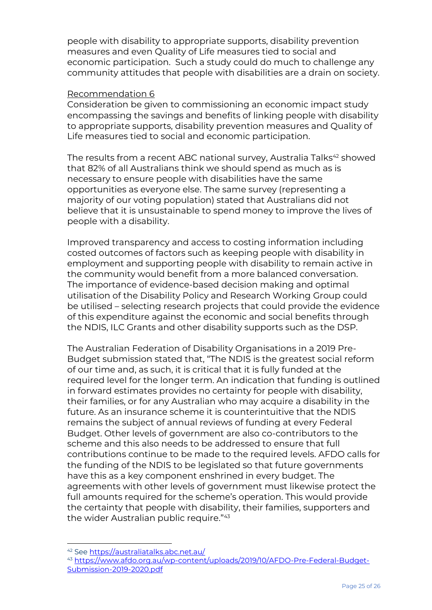people with disability to appropriate supports, disability prevention measures and even Quality of Life measures tied to social and economic participation. Such a study could do much to challenge any community attitudes that people with disabilities are a drain on society.

#### Recommendation 6

Consideration be given to commissioning an economic impact study encompassing the savings and benefits of linking people with disability to appropriate supports, disability prevention measures and Quality of Life measures tied to social and economic participation.

The results from a recent ABC national survey, [Australia Talks](https://australiatalks.abc.net.au/)<sup>42</sup> showed that 82% of all Australians think we should spend as much as is necessary to ensure people with disabilities have the same opportunities as everyone else. The same survey (representing a majority of our voting population) stated that Australians did not believe that it is unsustainable to spend money to improve the lives of people with a disability.

Improved transparency and access to costing information including costed outcomes of factors such as keeping people with disability in employment and supporting people with disability to remain active in the community would benefit from a more balanced conversation. The importance of evidence-based decision making and optimal utilisation of the Disability Policy and Research Working Group could be utilised – selecting research projects that could provide the evidence of this expenditure against the economic and social benefits through the NDIS, ILC Grants and other disability supports such as the DSP.

The Australian Federation of Disability Organisations in a 2019 Pre-Budget submission stated that, "The NDIS is the greatest social reform of our time and, as such, it is critical that it is fully funded at the required level for the longer term. An indication that funding is outlined in forward estimates provides no certainty for people with disability, their families, or for any Australian who may acquire a disability in the future. As an insurance scheme it is counterintuitive that the NDIS remains the subject of annual reviews of funding at every Federal Budget. Other levels of government are also co-contributors to the scheme and this also needs to be addressed to ensure that full contributions continue to be made to the required levels. AFDO calls for the funding of the NDIS to be legislated so that future governments have this as a key component enshrined in every budget. The agreements with other levels of government must likewise protect the full amounts required for the scheme's operation. This would provide the certainty that people with disability, their families, supporters and the wider Australian public require."<sup>43</sup>

<sup>42</sup> See<https://australiatalks.abc.net.au/>

<sup>43</sup> [https://www.afdo.org.au/wp-content/uploads/2019/10/AFDO-Pre-Federal-Budget-](https://www.afdo.org.au/wp-content/uploads/2019/10/AFDO-Pre-Federal-Budget-Submission-2019-2020.pdf)[Submission-2019-2020.pdf](https://www.afdo.org.au/wp-content/uploads/2019/10/AFDO-Pre-Federal-Budget-Submission-2019-2020.pdf)